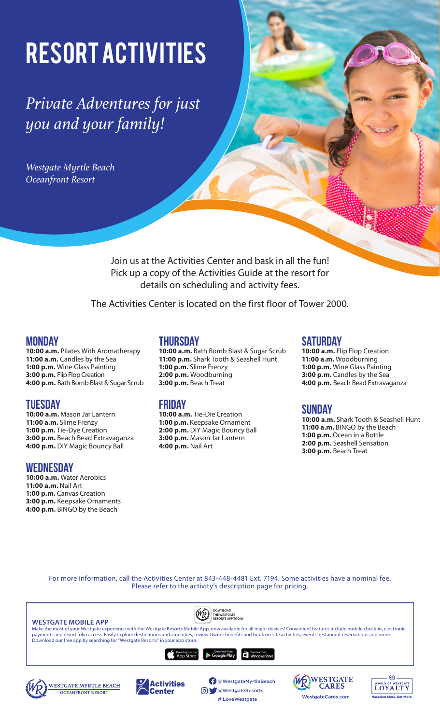# Resort Activities

*Private Adventures for just you and your family!*

*Westgate Myrtle Beach Oceanfront Resort* 

> Join us at the Activities Center and bask in all the fun! Pick up a copy of the Activities Guide at the resort for details on scheduling and activity fees.

The Activities Center is located on the first floor of Tower 2000.

## **Monday**

**10:00 a.m.** Pilates With Aromatherapy **11:00 a.m.** Candles by the Sea **1:00 p.m.** Wine Glass Painting **3:00 p.m.** Flip Flop Creation **4:00 p.m.** Bath Bomb Blast & Sugar Scrub

## **Tuesday**

**10:00 a.m.** Mason Jar Lantern **11:00 a.m.** Slime Frenzy **1:00 p.m.** Tie-Dye Creation **3:00 p.m.** Beach Bead Extravaganza **4:00 p.m.** DIY Magic Bouncy Ball

## **Wednesday**

**10:00 a.m.** Water Aerobics **11:00 a.m.** Nail Art **1:00 p.m.** Canvas Creation **3:00 p.m.** Keepsake Ornaments **4:00 p.m.** BINGO by the Beach

**OCEANFRONT RESORT** 

## **Thursday**

**10:00 a.m.** Bath Bomb Blast & Sugar Scrub **11:00 p.m.** Shark Tooth & Seashell Hunt **1:00 p.m.** Slime Frenzy **2:00 p.m.** Woodburning **3:00 p.m.** Beach Treat

## **Friday**

Center

**10:00 a.m.** Tie-Die Creation **1:00 p.m.** Keepsake Ornament **2:00 p.m.** DIY Magic Bouncy Ball **3:00 p.m.** Mason Jar Lantern **4:00 p.m.** Nail Art

## **Saturday**

**10:00 a.m.** Flip Flop Creation **11:00 a.m.** Woodburning **1:00 p.m.** Wine Glass Painting **3:00 p.m.** Candles by the Sea **4:00 p.m.** Beach Bead Extravaganza

## **Sunday**

**10:00 a.m.** Shark Tooth & Seashell Hunt **11:00 a.m.** BINGO by the Beach **1:00 p.m.** Ocean in a Bottle **2:00 p.m.** Seashell Sensation **3:00 p.m.** Beach Treat

**Vacation More. Get More.**

For more information, call the Activities Center at 843-448-4481 Ext. 7194. Some activities have a nominal fee. Please refer to the activity's description page for pricing.



@WestgateResorts

WestgateCares.com #ILoveWestgate